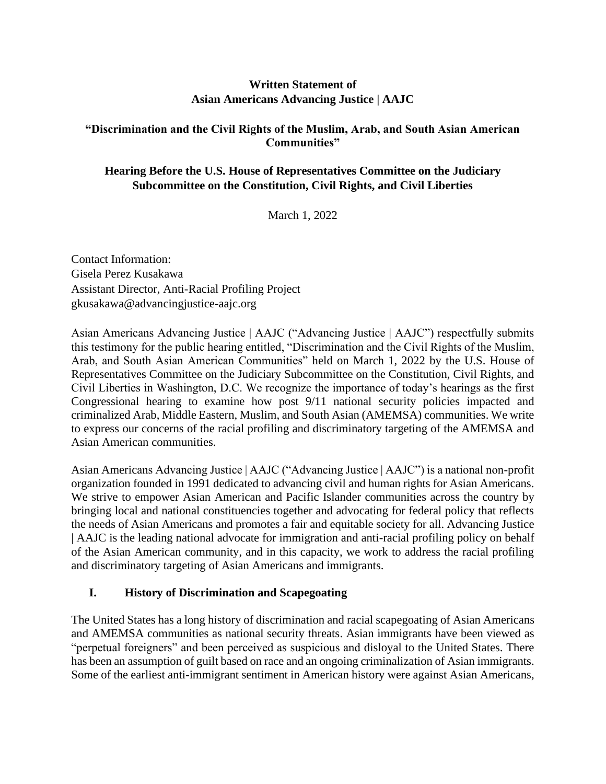# **Written Statement of Asian Americans Advancing Justice | AAJC**

#### **"Discrimination and the Civil Rights of the Muslim, Arab, and South Asian American Communities"**

## **Hearing Before the U.S. House of Representatives Committee on the Judiciary Subcommittee on the Constitution, Civil Rights, and Civil Liberties**

March 1, 2022

Contact Information: Gisela Perez Kusakawa Assistant Director, Anti-Racial Profiling Project gkusakawa@advancingjustice-aajc.org

Asian Americans Advancing Justice | AAJC ("Advancing Justice | AAJC") respectfully submits this testimony for the public hearing entitled, "Discrimination and the Civil Rights of the Muslim, Arab, and South Asian American Communities" held on March 1, 2022 by the U.S. House of Representatives Committee on the Judiciary Subcommittee on the Constitution, Civil Rights, and Civil Liberties in Washington, D.C. We recognize the importance of today's hearings as the first Congressional hearing to examine how post 9/11 national security policies impacted and criminalized Arab, Middle Eastern, Muslim, and South Asian (AMEMSA) communities. We write to express our concerns of the racial profiling and discriminatory targeting of the AMEMSA and Asian American communities.

Asian Americans Advancing Justice | AAJC ("Advancing Justice | AAJC") is a national non-profit organization founded in 1991 dedicated to advancing civil and human rights for Asian Americans. We strive to empower Asian American and Pacific Islander communities across the country by bringing local and national constituencies together and advocating for federal policy that reflects the needs of Asian Americans and promotes a fair and equitable society for all. Advancing Justice | AAJC is the leading national advocate for immigration and anti-racial profiling policy on behalf of the Asian American community, and in this capacity, we work to address the racial profiling and discriminatory targeting of Asian Americans and immigrants.

## **I. History of Discrimination and Scapegoating**

The United States has a long history of discrimination and racial scapegoating of Asian Americans and AMEMSA communities as national security threats. Asian immigrants have been viewed as "perpetual foreigners" and been perceived as suspicious and disloyal to the United States. There has been an assumption of guilt based on race and an ongoing criminalization of Asian immigrants. Some of the earliest anti-immigrant sentiment in American history were against Asian Americans,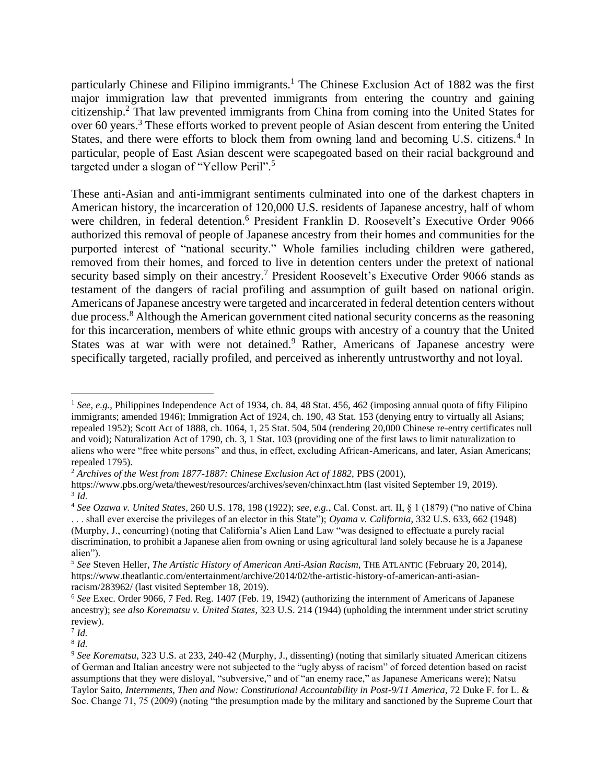particularly Chinese and Filipino immigrants.<sup>1</sup> The Chinese Exclusion Act of 1882 was the first major immigration law that prevented immigrants from entering the country and gaining citizenship.<sup>2</sup> That law prevented immigrants from China from coming into the United States for over 60 years.<sup>3</sup> These efforts worked to prevent people of Asian descent from entering the United States, and there were efforts to block them from owning land and becoming U.S. citizens.<sup>4</sup> In particular, people of East Asian descent were scapegoated based on their racial background and targeted under a slogan of "Yellow Peril".<sup>5</sup>

These anti-Asian and anti-immigrant sentiments culminated into one of the darkest chapters in American history, the incarceration of 120,000 U.S. residents of Japanese ancestry, half of whom were children, in federal detention.<sup>6</sup> President Franklin D. Roosevelt's Executive Order 9066 authorized this removal of people of Japanese ancestry from their homes and communities for the purported interest of "national security." Whole families including children were gathered, removed from their homes, and forced to live in detention centers under the pretext of national security based simply on their ancestry.<sup>7</sup> President Roosevelt's Executive Order 9066 stands as testament of the dangers of racial profiling and assumption of guilt based on national origin. Americans of Japanese ancestry were targeted and incarcerated in federal detention centers without due process.<sup>8</sup> Although the American government cited national security concerns as the reasoning for this incarceration, members of white ethnic groups with ancestry of a country that the United States was at war with were not detained.<sup>9</sup> Rather, Americans of Japanese ancestry were specifically targeted, racially profiled, and perceived as inherently untrustworthy and not loyal.

<sup>1</sup> *See, e.g.*, Philippines Independence Act of 1934, ch. 84, 48 Stat. 456, 462 (imposing annual quota of fifty Filipino immigrants; amended 1946); Immigration Act of 1924, ch. 190, 43 Stat. 153 (denying entry to virtually all Asians; repealed 1952); Scott Act of 1888, ch. 1064, 1, 25 Stat. 504, 504 (rendering 20,000 Chinese re-entry certificates null and void); Naturalization Act of 1790, ch. 3, 1 Stat. 103 (providing one of the first laws to limit naturalization to aliens who were "free white persons" and thus, in effect, excluding African-Americans, and later, Asian Americans; repealed 1795).

<sup>&</sup>lt;sup>2</sup> Archives of the West from 1877-1887: Chinese Exclusion Act of 1882, PBS (2001),

<https://www.pbs.org/weta/thewest/resources/archives/seven/chinxact.htm> (last visited September 19, 2019). 3 *Id.*

<sup>4</sup> *See Ozawa v. United States*, 260 U.S. 178, 198 (1922); *see, e.g.*, Cal. Const. art. II, § 1 (1879) ("no native of China . . . shall ever exercise the privileges of an elector in this State"); *Oyama v. California*, 332 U.S. 633, 662 (1948) (Murphy, J., concurring) (noting that California's Alien Land Law "was designed to effectuate a purely racial discrimination, to prohibit a Japanese alien from owning or using agricultural land solely because he is a Japanese alien").

<sup>5</sup> *See* Steven Heller, *The Artistic History of American Anti-Asian Racism,* THE ATLANTIC (February 20, 2014), https://www.theatlantic.com/entertainment/archive/2014/02/the-artistic-history-of-american-anti-asianracism/283962/ (last visited September 18, 2019).

<sup>6</sup> *See* Exec. Order 9066, 7 Fed. Reg. 1407 (Feb. 19, 1942) (authorizing the internment of Americans of Japanese ancestry); *see also Korematsu v. United States*, 323 U.S. 214 (1944) (upholding the internment under strict scrutiny review).

<sup>7</sup> *Id.*

<sup>8</sup> *Id.*

<sup>9</sup> *See Korematsu*, 323 U.S. at 233, 240-42 (Murphy, J., dissenting) (noting that similarly situated American citizens of German and Italian ancestry were not subjected to the "ugly abyss of racism" of forced detention based on racist assumptions that they were disloyal, "subversive," and of "an enemy race," as Japanese Americans were); Natsu Taylor Saito, *Internments, Then and Now: Constitutional Accountability in Post-9/11 America*, 72 Duke F. for L. & Soc. Change 71, 75 (2009) (noting "the presumption made by the military and sanctioned by the Supreme Court that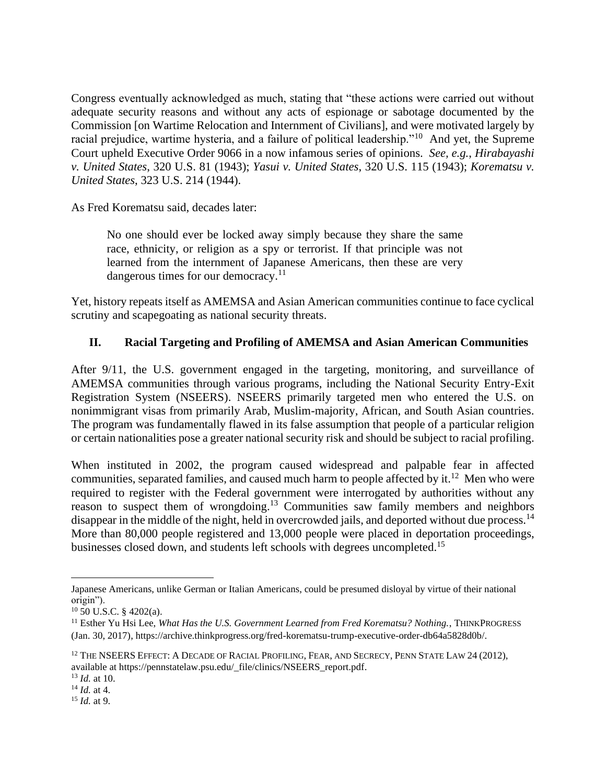Congress eventually acknowledged as much, stating that "these actions were carried out without adequate security reasons and without any acts of espionage or sabotage documented by the Commission [on Wartime Relocation and Internment of Civilians], and were motivated largely by racial prejudice, wartime hysteria, and a failure of political leadership."<sup>10</sup> And yet, the Supreme Court upheld Executive Order 9066 in a now infamous series of opinions. *See, e.g.*, *Hirabayashi v. United States*, 320 U.S. 81 (1943); *Yasui v. United States*, 320 U.S. 115 (1943); *Korematsu v. United States*, 323 U.S. 214 (1944).

As Fred Korematsu said, decades later:

No one should ever be locked away simply because they share the same race, ethnicity, or religion as a spy or terrorist. If that principle was not learned from the internment of Japanese Americans, then these are very dangerous times for our democracy.<sup>11</sup>

Yet, history repeats itself as AMEMSA and Asian American communities continue to face cyclical scrutiny and scapegoating as national security threats.

# **II. Racial Targeting and Profiling of AMEMSA and Asian American Communities**

After 9/11, the U.S. government engaged in the targeting, monitoring, and surveillance of AMEMSA communities through various programs, including the National Security Entry-Exit Registration System (NSEERS). NSEERS primarily targeted men who entered the U.S. on nonimmigrant visas from primarily Arab, Muslim-majority, African, and South Asian countries. The program was fundamentally flawed in its false assumption that people of a particular religion or certain nationalities pose a greater national security risk and should be subject to racial profiling.

When instituted in 2002, the program caused widespread and palpable fear in affected communities, separated families, and caused much harm to people affected by it.<sup>12</sup> Men who were required to register with the Federal government were interrogated by authorities without any reason to suspect them of wrongdoing.<sup>13</sup> Communities saw family members and neighbors disappear in the middle of the night, held in overcrowded jails, and deported without due process.<sup>14</sup> More than 80,000 people registered and 13,000 people were placed in deportation proceedings, businesses closed down, and students left schools with degrees uncompleted.<sup>15</sup>

Japanese Americans, unlike German or Italian Americans, could be presumed disloyal by virtue of their national origin").

 $10\,50\,$  U.S.C.  $\frac{8\,4202(a)}{a}$ .

<sup>&</sup>lt;sup>11</sup> Esther Yu Hsi Lee, *What Has the U.S. Government Learned from Fred Korematsu? Nothing.*, THINKPROGRESS (Jan. 30, 2017), https://archive.thinkprogress.org/fred-korematsu-trump-executive-order-db64a5828d0b/.

<sup>&</sup>lt;sup>12</sup> THE NSEERS EFFECT: A DECADE OF RACIAL PROFILING, FEAR, AND SECRECY, PENN STATE LAW 24 (2012), available at https://pennstatelaw.psu.edu/\_file/clinics/NSEERS\_report.pdf.

<sup>13</sup> *Id.* at 10.

<sup>14</sup> *Id.* at 4.

<sup>15</sup> *Id.* at 9.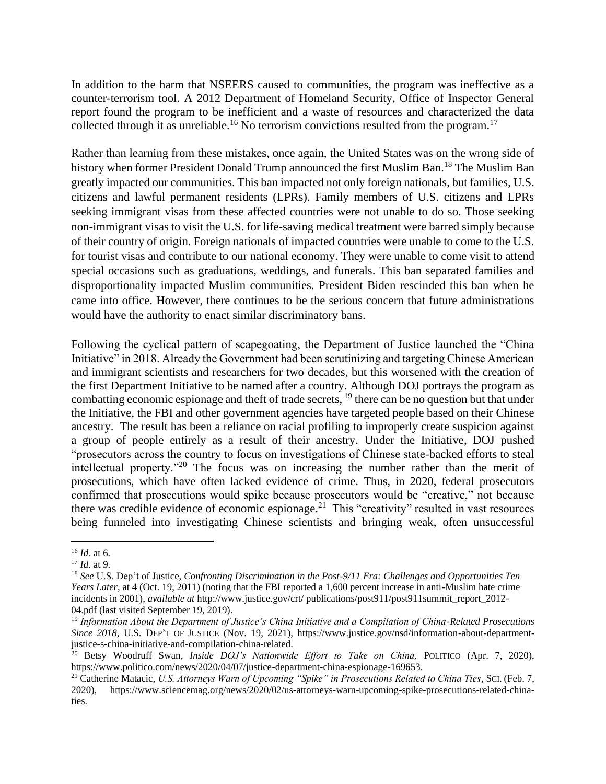In addition to the harm that NSEERS caused to communities, the program was ineffective as a counter-terrorism tool. A 2012 Department of Homeland Security, Office of Inspector General report found the program to be inefficient and a waste of resources and characterized the data collected through it as unreliable.<sup>16</sup> No terrorism convictions resulted from the program.<sup>17</sup>

Rather than learning from these mistakes, once again, the United States was on the wrong side of history when former President Donald Trump announced the first Muslim Ban.<sup>18</sup> The Muslim Ban greatly impacted our communities. This ban impacted not only foreign nationals, but families, U.S. citizens and lawful permanent residents (LPRs). Family members of U.S. citizens and LPRs seeking immigrant visas from these affected countries were not unable to do so. Those seeking non-immigrant visas to visit the U.S. for life-saving medical treatment were barred simply because of their country of origin. Foreign nationals of impacted countries were unable to come to the U.S. for tourist visas and contribute to our national economy. They were unable to come visit to attend special occasions such as graduations, weddings, and funerals. This ban separated families and disproportionality impacted Muslim communities. President Biden rescinded this ban when he came into office. However, there continues to be the serious concern that future administrations would have the authority to enact similar discriminatory bans.

Following the cyclical pattern of scapegoating, the Department of Justice launched the "China Initiative" in 2018. Already the Government had been scrutinizing and targeting Chinese American and immigrant scientists and researchers for two decades, but this worsened with the creation of the first Department Initiative to be named after a country. Although DOJ portrays the program as combatting economic espionage and theft of trade secrets,  $^{19}$  there can be no question but that under the Initiative, the FBI and other government agencies have targeted people based on their Chinese ancestry. The result has been a reliance on racial profiling to improperly create suspicion against a group of people entirely as a result of their ancestry. Under the Initiative, DOJ pushed "prosecutors across the country to focus on investigations of Chinese state-backed efforts to steal intellectual property."<sup>20</sup> The focus was on increasing the number rather than the merit of prosecutions, which have often lacked evidence of crime. Thus, in 2020, federal prosecutors confirmed that prosecutions would spike because prosecutors would be "creative," not because there was credible evidence of economic espionage.<sup>21</sup> This "creativity" resulted in vast resources being funneled into investigating Chinese scientists and bringing weak, often unsuccessful

<sup>16</sup> *Id.* at 6.

<sup>17</sup> *Id.* at 9.

<sup>18</sup> *See* U.S. Dep't of Justice, *Confronting Discrimination in the Post-9/11 Era: Challenges and Opportunities Ten Years Later*, at 4 (Oct. 19, 2011) (noting that the FBI reported a 1,600 percent increase in anti-Muslim hate crime incidents in 2001), *available at* http://www.justice.gov/crt/ publications/post911/post911summit\_report\_2012-04.pdf (last visited September 19, 2019).

<sup>19</sup> *Information About the Department of Justice's China Initiative and a Compilation of China-Related Prosecutions Since 2018,* U.S. DEP'T OF JUSTICE (Nov. 19, 2021), https://www.justice.gov/nsd/information-about-departmentjustice-s-china-initiative-and-compilation-china-related.

<sup>20</sup> Betsy Woodruff Swan, *Inside DOJ's Nationwide Effort to Take on China,* POLITICO (Apr. 7, 2020), https://www.politico.com/news/2020/04/07/justice-department-china-espionage-169653.

<sup>21</sup> Catherine Matacic, *U.S. Attorneys Warn of Upcoming "Spike" in Prosecutions Related to China Ties*, SCI. (Feb. 7, 2020), https://www.sciencemag.org/news/2020/02/us-attorneys-warn-upcoming-spike-prosecutions-related-chinaties.